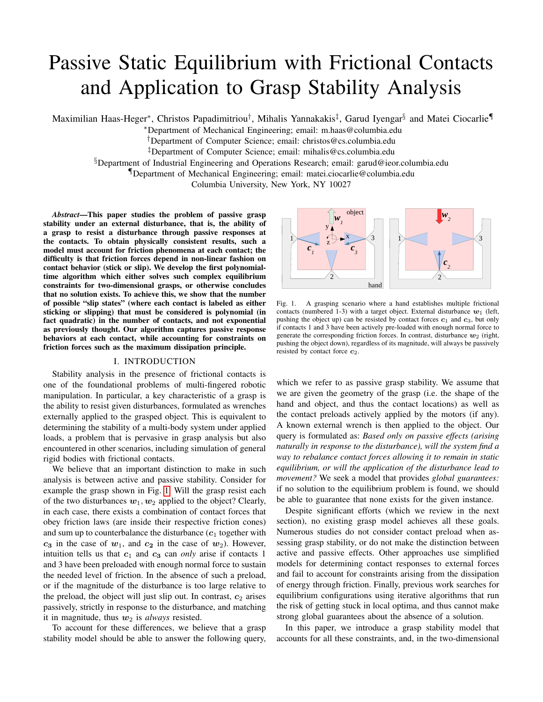# Passive Static Equilibrium with Frictional Contacts and Application to Grasp Stability Analysis

Maximilian Haas-Heger\*, Christos Papadimitriou<sup>†</sup>, Mihalis Yannakakis<sup>‡</sup>, Garud Iyengar<sup>§</sup> and Matei Ciocarlie¶

<sup>∗</sup>Department of Mechanical Engineering; email: m.haas@columbia.edu

†Department of Computer Science; email: christos@cs.columbia.edu

‡Department of Computer Science; email: mihalis@cs.columbia.edu

§Department of Industrial Engineering and Operations Research; email: garud@ieor.columbia.edu

¶Department of Mechanical Engineering; email: matei.ciocarlie@columbia.edu

Columbia University, New York, NY 10027

*Abstract*—This paper studies the problem of passive grasp stability under an external disturbance, that is, the ability of a grasp to resist a disturbance through passive responses at the contacts. To obtain physically consistent results, such a model must account for friction phenomena at each contact; the difficulty is that friction forces depend in non-linear fashion on contact behavior (stick or slip). We develop the first polynomialtime algorithm which either solves such complex equilibrium constraints for two-dimensional grasps, or otherwise concludes that no solution exists. To achieve this, we show that the number of possible "slip states" (where each contact is labeled as either sticking or slipping) that must be considered is polynomial (in fact quadratic) in the number of contacts, and not exponential as previously thought. Our algorithm captures passive response behaviors at each contact, while accounting for constraints on friction forces such as the maximum dissipation principle.

## I. INTRODUCTION

Stability analysis in the presence of frictional contacts is one of the foundational problems of multi-fingered robotic manipulation. In particular, a key characteristic of a grasp is the ability to resist given disturbances, formulated as wrenches externally applied to the grasped object. This is equivalent to determining the stability of a multi-body system under applied loads, a problem that is pervasive in grasp analysis but also encountered in other scenarios, including simulation of general rigid bodies with frictional contacts.

We believe that an important distinction to make in such analysis is between active and passive stability. Consider for example the grasp shown in Fig. [1.](#page-0-0) Will the grasp resist each of the two disturbances  $w_1, w_2$  applied to the object? Clearly, in each case, there exists a combination of contact forces that obey friction laws (are inside their respective friction cones) and sum up to counterbalance the disturbance  $(c_1)$  together with  $c_3$  in the case of  $w_1$ , and  $c_2$  in the case of  $w_2$ ). However, intuition tells us that  $c_1$  and  $c_3$  can *only* arise if contacts 1 and 3 have been preloaded with enough normal force to sustain the needed level of friction. In the absence of such a preload, or if the magnitude of the disturbance is too large relative to the preload, the object will just slip out. In contrast,  $c_2$  arises passively, strictly in response to the disturbance, and matching it in magnitude, thus  $w_2$  is *always* resisted.

To account for these differences, we believe that a grasp stability model should be able to answer the following query,



<span id="page-0-0"></span>Fig. 1. A grasping scenario where a hand establishes multiple frictional contacts (numbered 1-3) with a target object. External disturbance  $w_1$  (left, pushing the object up) can be resisted by contact forces  $c_1$  and  $c_3$ , but only if contacts 1 and 3 have been actively pre-loaded with enough normal force to generate the corresponding friction forces. In contrast, disturbance  $w_2$  (right, pushing the object down), regardless of its magnitude, will always be passively resisted by contact force  $c_2$ .

which we refer to as passive grasp stability. We assume that we are given the geometry of the grasp (i.e. the shape of the hand and object, and thus the contact locations) as well as the contact preloads actively applied by the motors (if any). A known external wrench is then applied to the object. Our query is formulated as: *Based only on passive effects (arising naturally in response to the disturbance), will the system find a way to rebalance contact forces allowing it to remain in static equilibrium, or will the application of the disturbance lead to movement?* We seek a model that provides *global guarantees:* if no solution to the equilibrium problem is found, we should be able to guarantee that none exists for the given instance.

Despite significant efforts (which we review in the next section), no existing grasp model achieves all these goals. Numerous studies do not consider contact preload when assessing grasp stability, or do not make the distinction between active and passive effects. Other approaches use simplified models for determining contact responses to external forces and fail to account for constraints arising from the dissipation of energy through friction. Finally, previous work searches for equilibrium configurations using iterative algorithms that run the risk of getting stuck in local optima, and thus cannot make strong global guarantees about the absence of a solution.

In this paper, we introduce a grasp stability model that accounts for all these constraints, and, in the two-dimensional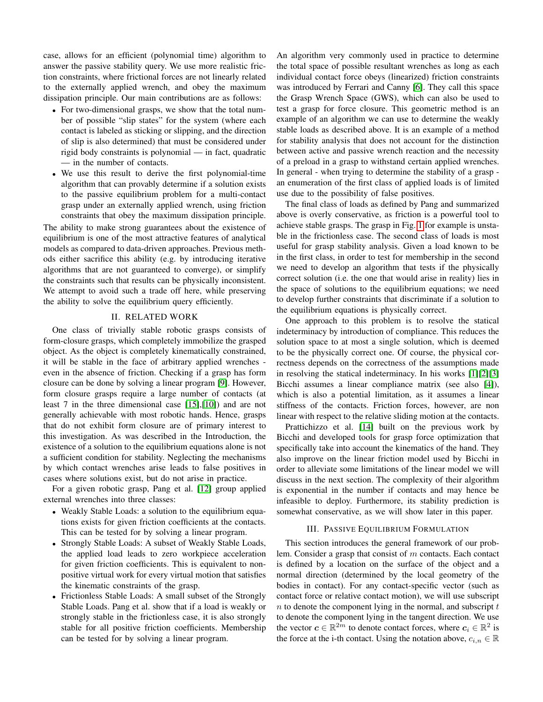case, allows for an efficient (polynomial time) algorithm to answer the passive stability query. We use more realistic friction constraints, where frictional forces are not linearly related to the externally applied wrench, and obey the maximum dissipation principle. Our main contributions are as follows:

- For two-dimensional grasps, we show that the total number of possible "slip states" for the system (where each contact is labeled as sticking or slipping, and the direction of slip is also determined) that must be considered under rigid body constraints is polynomial — in fact, quadratic — in the number of contacts.
- We use this result to derive the first polynomial-time algorithm that can provably determine if a solution exists to the passive equilibrium problem for a multi-contact grasp under an externally applied wrench, using friction constraints that obey the maximum dissipation principle.

The ability to make strong guarantees about the existence of equilibrium is one of the most attractive features of analytical models as compared to data-driven approaches. Previous methods either sacrifice this ability (e.g. by introducing iterative algorithms that are not guaranteed to converge), or simplify the constraints such that results can be physically inconsistent. We attempt to avoid such a trade off here, while preserving the ability to solve the equilibrium query efficiently.

## II. RELATED WORK

One class of trivially stable robotic grasps consists of form-closure grasps, which completely immobilize the grasped object. As the object is completely kinematically constrained, it will be stable in the face of arbitrary applied wrenches even in the absence of friction. Checking if a grasp has form closure can be done by solving a linear program [\[9\]](#page-8-0). However, form closure grasps require a large number of contacts (at least 7 in the three dimensional case [\[15\]](#page-8-1),[\[10\]](#page-8-2)) and are not generally achievable with most robotic hands. Hence, grasps that do not exhibit form closure are of primary interest to this investigation. As was described in the Introduction, the existence of a solution to the equilibrium equations alone is not a sufficient condition for stability. Neglecting the mechanisms by which contact wrenches arise leads to false positives in cases where solutions exist, but do not arise in practice.

For a given robotic grasp, Pang et al. [\[12\]](#page-8-3) group applied external wrenches into three classes:

- Weakly Stable Loads: a solution to the equilibrium equations exists for given friction coefficients at the contacts. This can be tested for by solving a linear program.
- Strongly Stable Loads: A subset of Weakly Stable Loads, the applied load leads to zero workpiece acceleration for given friction coefficients. This is equivalent to nonpositive virtual work for every virtual motion that satisfies the kinematic constraints of the grasp.
- Frictionless Stable Loads: A small subset of the Strongly Stable Loads. Pang et al. show that if a load is weakly or strongly stable in the frictionless case, it is also strongly stable for all positive friction coefficients. Membership can be tested for by solving a linear program.

An algorithm very commonly used in practice to determine the total space of possible resultant wrenches as long as each individual contact force obeys (linearized) friction constraints was introduced by Ferrari and Canny [\[6\]](#page-8-4). They call this space the Grasp Wrench Space (GWS), which can also be used to test a grasp for force closure. This geometric method is an example of an algorithm we can use to determine the weakly stable loads as described above. It is an example of a method for stability analysis that does not account for the distinction between active and passive wrench reaction and the necessity of a preload in a grasp to withstand certain applied wrenches. In general - when trying to determine the stability of a grasp an enumeration of the first class of applied loads is of limited use due to the possibility of false positives.

The final class of loads as defined by Pang and summarized above is overly conservative, as friction is a powerful tool to achieve stable grasps. The grasp in Fig. [1](#page-0-0) for example is unstable in the frictionless case. The second class of loads is most useful for grasp stability analysis. Given a load known to be in the first class, in order to test for membership in the second we need to develop an algorithm that tests if the physically correct solution (i.e. the one that would arise in reality) lies in the space of solutions to the equilibrium equations; we need to develop further constraints that discriminate if a solution to the equilibrium equations is physically correct.

One approach to this problem is to resolve the statical indeterminacy by introduction of compliance. This reduces the solution space to at most a single solution, which is deemed to be the physically correct one. Of course, the physical correctness depends on the correctness of the assumptions made in resolving the statical indeterminacy. In his works [\[1\]](#page-8-5)[\[2\]](#page-8-6)[\[3\]](#page-8-7) Bicchi assumes a linear compliance matrix (see also [\[4\]](#page-8-8)), which is also a potential limitation, as it assumes a linear stiffness of the contacts. Friction forces, however, are non linear with respect to the relative sliding motion at the contacts.

Prattichizzo et al. [\[14\]](#page-8-9) built on the previous work by Bicchi and developed tools for grasp force optimization that specifically take into account the kinematics of the hand. They also improve on the linear friction model used by Bicchi in order to alleviate some limitations of the linear model we will discuss in the next section. The complexity of their algorithm is exponential in the number if contacts and may hence be infeasible to deploy. Furthermore, its stability prediction is somewhat conservative, as we will show later in this paper.

#### III. PASSIVE EQUILIBRIUM FORMULATION

This section introduces the general framework of our problem. Consider a grasp that consist of  $m$  contacts. Each contact is defined by a location on the surface of the object and a normal direction (determined by the local geometry of the bodies in contact). For any contact-specific vector (such as contact force or relative contact motion), we will use subscript  $n$  to denote the component lying in the normal, and subscript  $t$ to denote the component lying in the tangent direction. We use the vector  $c \in \mathbb{R}^{2m}$  to denote contact forces, where  $c_i \in \mathbb{R}^2$  is the force at the i-th contact. Using the notation above,  $c_{i,n} \in \mathbb{R}$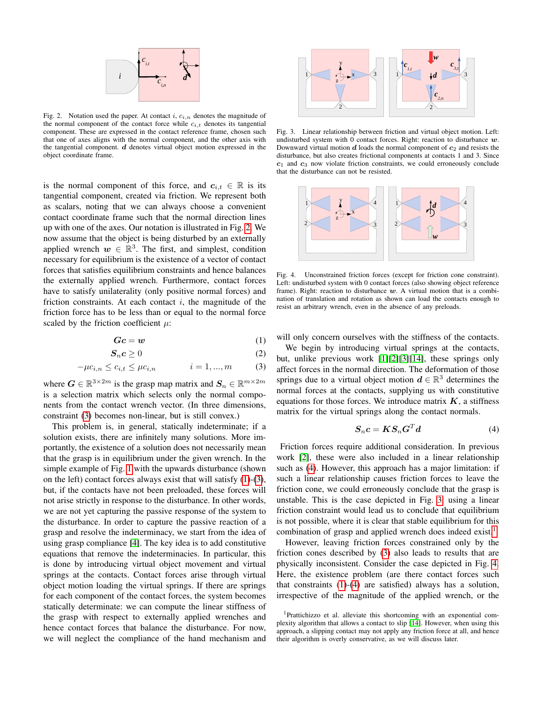

Fig. 2. Notation used the paper. At contact  $i, c_{i,n}$  denotes the magnitude of the normal component of the contact force while  $c_{i,t}$  denotes its tangential component. These are expressed in the contact reference frame, chosen such that one of axes aligns with the normal component, and the other axis with the tangential component.  $d$  denotes virtual object motion expressed in the object coordinate frame.

is the normal component of this force, and  $c_{i,t} \in \mathbb{R}$  is its tangential component, created via friction. We represent both as scalars, noting that we can always choose a convenient contact coordinate frame such that the normal direction lines up with one of the axes. Our notation is illustrated in Fig. [2.](#page-2-0) We now assume that the object is being disturbed by an externally applied wrench  $w \in \mathbb{R}^3$ . The first, and simplest, condition necessary for equilibrium is the existence of a vector of contact forces that satisfies equilibrium constraints and hence balances the externally applied wrench. Furthermore, contact forces have to satisfy unilaterality (only positive normal forces) and friction constraints. At each contact  $i$ , the magnitude of the friction force has to be less than or equal to the normal force scaled by the friction coefficient  $\mu$ :

$$
Gc = w \tag{1}
$$

$$
S_n c \ge 0 \tag{2}
$$

$$
-\mu c_{i,n} \le c_{i,t} \le \mu c_{i,n} \qquad i = 1, ..., m \qquad (3)
$$

where  $G \in \mathbb{R}^{3 \times 2m}$  is the grasp map matrix and  $S_n \in \mathbb{R}^{m \times 2m}$ is a selection matrix which selects only the normal components from the contact wrench vector. (In three dimensions, constraint [\(3\)](#page-2-1) becomes non-linear, but is still convex.)

This problem is, in general, statically indeterminate; if a solution exists, there are infinitely many solutions. More importantly, the existence of a solution does not necessarily mean that the grasp is in equilibrium under the given wrench. In the simple example of Fig. [1](#page-0-0) with the upwards disturbance (shown on the left) contact forces always exist that will satisfy [\(1\)](#page-2-2)-[\(3\)](#page-2-1), but, if the contacts have not been preloaded, these forces will not arise strictly in response to the disturbance. In other words, we are not yet capturing the passive response of the system to the disturbance. In order to capture the passive reaction of a grasp and resolve the indeterminacy, we start from the idea of using grasp compliance [\[4\]](#page-8-8). The key idea is to add constitutive equations that remove the indeterminacies. In particular, this is done by introducing virtual object movement and virtual springs at the contacts. Contact forces arise through virtual object motion loading the virtual springs. If there are springs for each component of the contact forces, the system becomes statically determinate: we can compute the linear stiffness of the grasp with respect to externally applied wrenches and hence contact forces that balance the disturbance. For now, we will neglect the compliance of the hand mechanism and

<span id="page-2-4"></span>

<span id="page-2-0"></span>Fig. 3. Linear relationship between friction and virtual object motion. Left: undisturbed system with 0 contact forces. Right: reaction to disturbance  $w$ . Downward virtual motion  $d$  loads the normal component of  $c_2$  and resists the disturbance, but also creates frictional components at contacts 1 and 3. Since  $c_1$  and  $c_3$  now violate friction constraints, we could erroneously conclude that the disturbance can not be resisted.

<span id="page-2-6"></span>

Fig. 4. Unconstrained friction forces (except for friction cone constraint). Left: undisturbed system with 0 contact forces (also showing object reference frame). Right: reaction to disturbance  $w$ . A virtual motion that is a combination of translation and rotation as shown can load the contacts enough to resist an arbitrary wrench, even in the absence of any preloads.

<span id="page-2-2"></span>will only concern ourselves with the stiffness of the contacts.

<span id="page-2-7"></span><span id="page-2-1"></span>We begin by introducing virtual springs at the contacts, but, unlike previous work [\[1\]](#page-8-5)[\[2\]](#page-8-6)[\[3\]](#page-8-7)[\[14\]](#page-8-9), these springs only affect forces in the normal direction. The deformation of those springs due to a virtual object motion  $d \in \mathbb{R}^3$  determines the normal forces at the contacts, supplying us with constitutive equations for those forces. We introduce matrix  $K$ , a stiffness matrix for the virtual springs along the contact normals.

<span id="page-2-3"></span>
$$
S_n c = K S_n G^T d \tag{4}
$$

Friction forces require additional consideration. In previous work [\[2\]](#page-8-6), these were also included in a linear relationship such as [\(4\)](#page-2-3). However, this approach has a major limitation: if such a linear relationship causes friction forces to leave the friction cone, we could erroneously conclude that the grasp is unstable. This is the case depicted in Fig. [3:](#page-2-4) using a linear friction constraint would lead us to conclude that equilibrium is not possible, where it is clear that stable equilibrium for this combination of grasp and applied wrench does indeed exist.<sup>[1](#page-2-5)</sup>

However, leaving friction forces constrained only by the friction cones described by [\(3\)](#page-2-1) also leads to results that are physically inconsistent. Consider the case depicted in Fig. [4.](#page-2-6) Here, the existence problem (are there contact forces such that constraints [\(1\)](#page-2-2)-[\(4\)](#page-2-3) are satisfied) always has a solution, irrespective of the magnitude of the applied wrench, or the

<span id="page-2-5"></span><sup>1</sup>Prattichizzo et al. alleviate this shortcoming with an exponential complexity algorithm that allows a contact to slip [\[14\]](#page-8-9). However, when using this approach, a slipping contact may not apply any friction force at all, and hence their algorithm is overly conservative, as we will discuss later.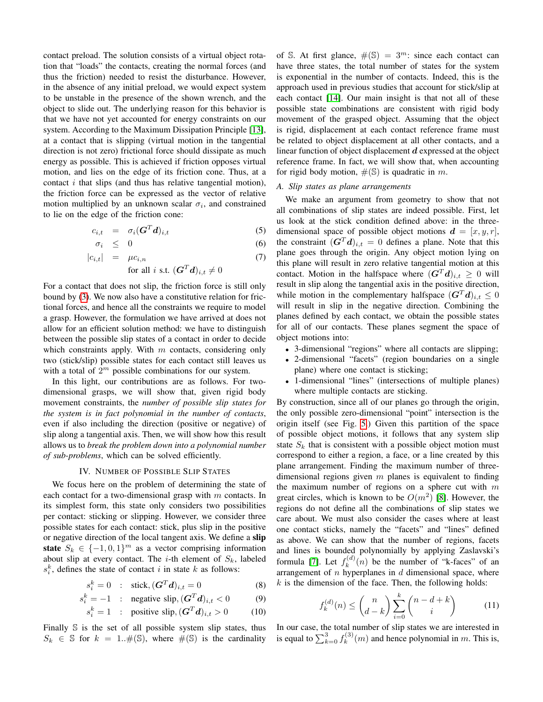contact preload. The solution consists of a virtual object rotation that "loads" the contacts, creating the normal forces (and thus the friction) needed to resist the disturbance. However, in the absence of any initial preload, we would expect system to be unstable in the presence of the shown wrench, and the object to slide out. The underlying reason for this behavior is that we have not yet accounted for energy constraints on our system. According to the Maximum Dissipation Principle [\[13\]](#page-8-10), at a contact that is slipping (virtual motion in the tangential direction is not zero) frictional force should dissipate as much energy as possible. This is achieved if friction opposes virtual motion, and lies on the edge of its friction cone. Thus, at a contact  $i$  that slips (and thus has relative tangential motion), the friction force can be expressed as the vector of relative motion multiplied by an unknown scalar  $\sigma_i$ , and constrained to lie on the edge of the friction cone:

$$
c_{i,t} = \sigma_i(\boldsymbol{G}^T \boldsymbol{d})_{i,t} \tag{5}
$$

$$
\sigma_i \leq 0 \tag{6}
$$

$$
|c_{i,t}| = \mu c_{i,n} \tag{7}
$$

for all *i* s.t. 
$$
(\mathbf{G}^T \mathbf{d})_{i,t} \neq 0
$$

For a contact that does not slip, the friction force is still only bound by [\(3\)](#page-2-1). We now also have a constitutive relation for frictional forces, and hence all the constraints we require to model a grasp. However, the formulation we have arrived at does not allow for an efficient solution method: we have to distinguish between the possible slip states of a contact in order to decide which constraints apply. With  $m$  contacts, considering only two (stick/slip) possible states for each contact still leaves us with a total of  $2^m$  possible combinations for our system.

In this light, our contributions are as follows. For twodimensional grasps, we will show that, given rigid body movement constraints, the *number of possible slip states for the system is in fact polynomial in the number of contacts*, even if also including the direction (positive or negative) of slip along a tangential axis. Then, we will show how this result allows us to *break the problem down into a polynomial number of sub-problems*, which can be solved efficiently.

### IV. NUMBER OF POSSIBLE SLIP STATES

We focus here on the problem of determining the state of each contact for a two-dimensional grasp with  $m$  contacts. In its simplest form, this state only considers two possibilities per contact: sticking or slipping. However, we consider three possible states for each contact: stick, plus slip in the positive or negative direction of the local tangent axis. We define a slip state  $S_k \in \{-1,0,1\}^m$  as a vector comprising information about slip at every contact. The *i*-th element of  $S_k$ , labeled  $s_i^k$ , defines the state of contact i in state k as follows:

$$
s_i^k = 0 \quad : \quad \text{stick}, (\boldsymbol{G}^T \boldsymbol{d})_{i,t} = 0 \tag{8}
$$

$$
s_i^k = -1 \quad : \quad \text{negative slip}, (\mathbf{G}^T \mathbf{d})_{i,t} < 0 \tag{9}
$$

$$
s_i^k = 1 \quad : \quad \text{positive slip}, \quad (G^T d)_{i,t} > 0 \tag{10}
$$

Finally S is the set of all possible system slip states, thus  $S_k \in \mathbb{S}$  for  $k = 1..\#(\mathbb{S})$ , where  $\#(\mathbb{S})$  is the cardinality

of S. At first glance,  $\#(\mathbb{S}) = 3^m$ : since each contact can have three states, the total number of states for the system is exponential in the number of contacts. Indeed, this is the approach used in previous studies that account for stick/slip at each contact [\[14\]](#page-8-9). Our main insight is that not all of these possible state combinations are consistent with rigid body movement of the grasped object. Assuming that the object is rigid, displacement at each contact reference frame must be related to object displacement at all other contacts, and a linear function of object displacement  $d$  expressed at the object reference frame. In fact, we will show that, when accounting for rigid body motion,  $\#(\mathbb{S})$  is quadratic in m.

#### *A. Slip states as plane arrangements*

We make an argument from geometry to show that not all combinations of slip states are indeed possible. First, let us look at the stick condition defined above: in the threedimensional space of possible object motions  $d = [x, y, r]$ , the constraint  $(G^T d)_{i,t} = 0$  defines a plane. Note that this plane goes through the origin. Any object motion lying on this plane will result in zero relative tangential motion at this contact. Motion in the halfspace where  $(\mathbf{G}^T \mathbf{d})_{i,t} \geq 0$  will result in slip along the tangential axis in the positive direction, while motion in the complementary halfspace  $(\boldsymbol{G}^T \boldsymbol{d})_{i,t} \leq 0$ will result in slip in the negative direction. Combining the planes defined by each contact, we obtain the possible states for all of our contacts. These planes segment the space of object motions into:

- 3-dimensional "regions" where all contacts are slipping;
- 2-dimensional "facets" (region boundaries on a single plane) where one contact is sticking;
- 1-dimensional "lines" (intersections of multiple planes) where multiple contacts are sticking.

By construction, since all of our planes go through the origin, the only possible zero-dimensional "point" intersection is the origin itself (see Fig. [5.](#page-4-0)) Given this partition of the space of possible object motions, it follows that any system slip state  $S_k$  that is consistent with a possible object motion must correspond to either a region, a face, or a line created by this plane arrangement. Finding the maximum number of threedimensional regions given  $m$  planes is equivalent to finding the maximum number of regions on a sphere cut with  $m$ great circles, which is known to be  $O(m^2)$  [\[8\]](#page-8-11). However, the regions do not define all the combinations of slip states we care about. We must also consider the cases where at least one contact sticks, namely the "facets" and "lines" defined as above. We can show that the number of regions, facets and lines is bounded polynomially by applying Zaslavski's formula [\[7\]](#page-8-12). Let  $f_k^{(d)}$  $k^{(a)}(n)$  be the number of "k-faces" of an arrangement of  $n$  hyperplanes in  $d$  dimensional space, where  $k$  is the dimension of the face. Then, the following holds:

$$
f_k^{(d)}(n) \le \binom{n}{d-k} \sum_{i=0}^k \binom{n-d+k}{i} \tag{11}
$$

In our case, the total number of slip states we are interested in is equal to  $\sum_{k=0}^{3} f_k^{(3)}$  $k^{(3)}(m)$  and hence polynomial in m. This is,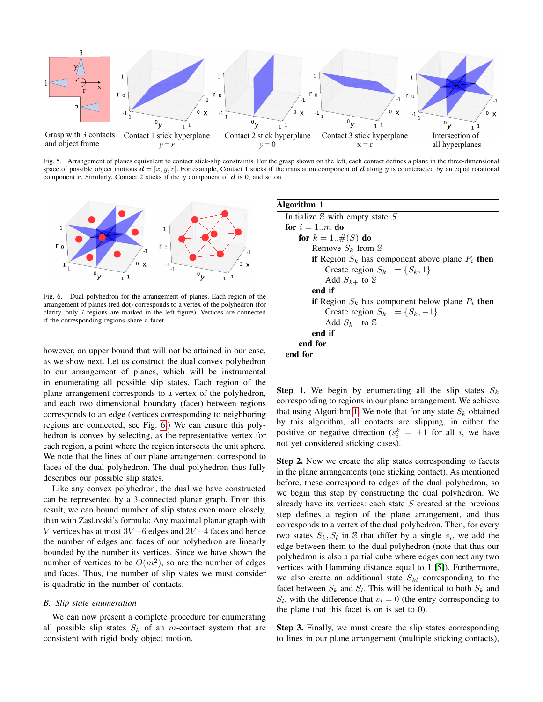

Fig. 5. Arrangement of planes equivalent to contact stick-slip constraints. For the grasp shown on the left, each contact defines a plane in the three-dimensional space of possible object motions  $d = [x, y, r]$ . For example, Contact 1 sticks if the translation component of d along y is counteracted by an equal rotational component r. Similarly, Contact 2 sticks if the  $y$  component of  $d$  is 0, and so on.



Fig. 6. Dual polyhedron for the arrangement of planes. Each region of the arrangement of planes (red dot) corresponds to a vertex of the polyhedron (for clarity, only 7 regions are marked in the left figure). Vertices are connected if the corresponding regions share a facet.

however, an upper bound that will not be attained in our case, as we show next. Let us construct the dual convex polyhedron to our arrangement of planes, which will be instrumental in enumerating all possible slip states. Each region of the plane arrangement corresponds to a vertex of the polyhedron, and each two dimensional boundary (facet) between regions corresponds to an edge (vertices corresponding to neighboring regions are connected, see Fig. [6.](#page-4-1)) We can ensure this polyhedron is convex by selecting, as the representative vertex for each region, a point where the region intersects the unit sphere. We note that the lines of our plane arrangement correspond to faces of the dual polyhedron. The dual polyhedron thus fully describes our possible slip states.

Like any convex polyhedron, the dual we have constructed can be represented by a 3-connected planar graph. From this result, we can bound number of slip states even more closely, than with Zaslavski's formula: Any maximal planar graph with V vertices has at most  $3V - 6$  edges and  $2V - 4$  faces and hence the number of edges and faces of our polyhedron are linearly bounded by the number its vertices. Since we have shown the number of vertices to be  $O(m^2)$ , so are the number of edges and faces. Thus, the number of slip states we must consider is quadratic in the number of contacts.

#### *B. Slip state enumeration*

We can now present a complete procedure for enumerating all possible slip states  $S_k$  of an m-contact system that are consistent with rigid body object motion.

<span id="page-4-2"></span><span id="page-4-1"></span><span id="page-4-0"></span>

**Step 1.** We begin by enumerating all the slip states  $S_k$ corresponding to regions in our plane arrangement. We achieve that using Algorithm [1.](#page-4-2) We note that for any state  $S_k$  obtained by this algorithm, all contacts are slipping, in either the positive or negative direction ( $s_i^k = \pm 1$  for all i, we have not yet considered sticking cases).

Step 2. Now we create the slip states corresponding to facets in the plane arrangements (one sticking contact). As mentioned before, these correspond to edges of the dual polyhedron, so we begin this step by constructing the dual polyhedron. We already have its vertices: each state  $S$  created at the previous step defines a region of the plane arrangement, and thus corresponds to a vertex of the dual polyhedron. Then, for every two states  $S_k$ ,  $S_l$  in S that differ by a single  $s_i$ , we add the edge between them to the dual polyhedron (note that thus our polyhedron is also a partial cube where edges connect any two vertices with Hamming distance equal to 1 [\[5\]](#page-8-13)). Furthermore, we also create an additional state  $S_{kl}$  corresponding to the facet between  $S_k$  and  $S_l$ . This will be identical to both  $S_k$  and  $S_l$ , with the difference that  $s_i = 0$  (the entry corresponding to the plane that this facet is on is set to 0).

Step 3. Finally, we must create the slip states corresponding to lines in our plane arrangement (multiple sticking contacts),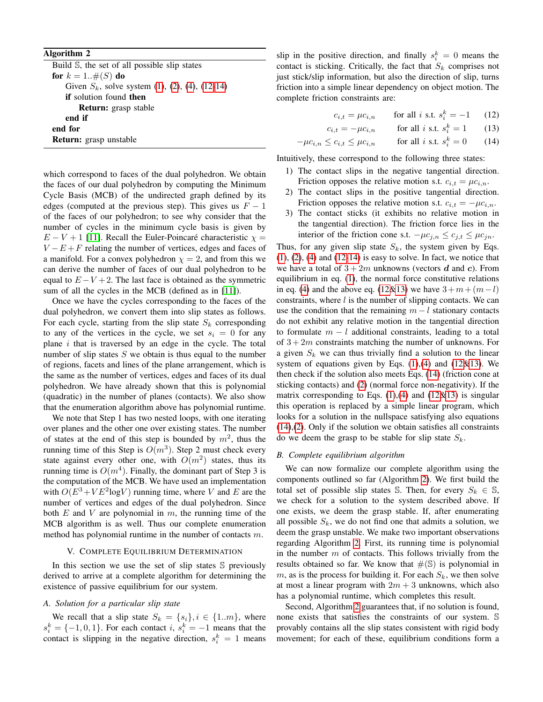## Algorithm 2

<span id="page-5-1"></span>Build S, the set of all possible slip states for  $k = 1..\#(S)$  do Given  $S_k$ , solve system [\(1\)](#page-2-2), [\(2\)](#page-2-7), [\(4\)](#page-2-3), [\(12-14\)](#page-5-0) if solution found then Return: grasp stable end if end for Return: grasp unstable

which correspond to faces of the dual polyhedron. We obtain the faces of our dual polyhedron by computing the Minimum Cycle Basis (MCB) of the undirected graph defined by its edges (computed at the previous step). This gives us  $F - 1$ of the faces of our polyhedron; to see why consider that the number of cycles in the minimum cycle basis is given by  $E - V + 1$  [\[11\]](#page-8-14). Recall the Euler-Poincaré characteristic  $\chi =$  $V - E + F$  relating the number of vertices, edges and faces of a manifold. For a convex polyhedron  $\chi = 2$ , and from this we can derive the number of faces of our dual polyhedron to be equal to  $E - V + 2$ . The last face is obtained as the symmetric sum of all the cycles in the MCB (defined as in [\[11\]](#page-8-14)).

Once we have the cycles corresponding to the faces of the dual polyhedron, we convert them into slip states as follows. For each cycle, starting from the slip state  $S_k$  corresponding to any of the vertices in the cycle, we set  $s_i = 0$  for any plane  $i$  that is traversed by an edge in the cycle. The total number of slip states  $S$  we obtain is thus equal to the number of regions, facets and lines of the plane arrangement, which is the same as the number of vertices, edges and faces of its dual polyhedron. We have already shown that this is polynomial (quadratic) in the number of planes (contacts). We also show that the enumeration algorithm above has polynomial runtime.

We note that Step 1 has two nested loops, with one iterating over planes and the other one over existing states. The number of states at the end of this step is bounded by  $m^2$ , thus the running time of this Step is  $O(m^3)$ . Step 2 must check every state against every other one, with  $O(m^2)$  states, thus its running time is  $O(m^4)$ . Finally, the dominant part of Step 3 is the computation of the MCB. We have used an implementation with  $O(E^3 + VE^2 \log V)$  running time, where V and E are the number of vertices and edges of the dual polyhedron. Since both  $E$  and  $V$  are polynomial in  $m$ , the running time of the MCB algorithm is as well. Thus our complete enumeration method has polynomial runtime in the number of contacts m.

#### V. COMPLETE EQUILIBRIUM DETERMINATION

In this section we use the set of slip states  $S$  previously derived to arrive at a complete algorithm for determining the existence of passive equilibrium for our system.

## *A. Solution for a particular slip state*

We recall that a slip state  $S_k = \{s_i\}, i \in \{1..m\}$ , where  $s_i^k = \{-1, 0, 1\}$ . For each contact i,  $s_i^k = -1$  means that the contact is slipping in the negative direction,  $s_i^k = 1$  means

slip in the positive direction, and finally  $s_i^k = 0$  means the contact is sticking. Critically, the fact that  $S_k$  comprises not just stick/slip information, but also the direction of slip, turns friction into a simple linear dependency on object motion. The complete friction constraints are:

<span id="page-5-0"></span>
$$
c_{i,t} = \mu c_{i,n} \qquad \text{for all } i \text{ s.t. } s_i^k = -1 \qquad (12)
$$

$$
c_{i,t} = -\mu c_{i,n} \qquad \text{for all } i \text{ s.t. } s_i^k = 1 \qquad (13)
$$

$$
\mu c_{i,n} \le c_{i,t} \le \mu c_{i,n} \qquad \text{for all } i \text{ s.t. } s_i^k = 0 \qquad (14)
$$

Intuitively, these correspond to the following three states:

- 1) The contact slips in the negative tangential direction. Friction opposes the relative motion s.t.  $c_{i,t} = \mu c_{i,n}$ .
- 2) The contact slips in the positive tangential direction. Friction opposes the relative motion s.t.  $c_{i,t} = -\mu c_{i,n}$ .
- 3) The contact sticks (it exhibits no relative motion in the tangential direction). The friction force lies in the interior of the friction cone s.t.  $-\mu c_{j,n} \le c_{j,t} \le \mu c_{jn}$ .

Thus, for any given slip state  $S_k$ , the system given by Eqs.  $(1)$ ,  $(2)$ ,  $(4)$  and  $(12-14)$  is easy to solve. In fact, we notice that we have a total of  $3 + 2m$  unknowns (vectors d and c). From equilibrium in eq. [\(1\)](#page-2-2), the normal force constitutive relations in eq. [\(4\)](#page-2-3) and the above eq. [\(12&13\)](#page-5-0) we have  $3+m+(m-l)$ constraints, where  $l$  is the number of slipping contacts. We can use the condition that the remaining  $m - l$  stationary contacts do not exhibit any relative motion in the tangential direction to formulate  $m - l$  additional constraints, leading to a total of  $3 + 2m$  constraints matching the number of unknowns. For a given  $S_k$  we can thus trivially find a solution to the linear system of equations given by Eqs.  $(1)$ , $(4)$  and  $(12\&13)$ . We then check if the solution also meets Eqs. [\(14\)](#page-5-0) (friction cone at sticking contacts) and [\(2\)](#page-2-7) (normal force non-negativity). If the matrix corresponding to Eqs.  $(1),(4)$  $(1),(4)$  $(1),(4)$  and  $(12\&13)$  is singular this operation is replaced by a simple linear program, which looks for a solution in the nullspace satisfying also equations [\(14\)](#page-5-0),[\(2\)](#page-2-7). Only if the solution we obtain satisfies all constraints do we deem the grasp to be stable for slip state  $S_k$ .

#### *B. Complete equilibrium algorithm*

We can now formalize our complete algorithm using the components outlined so far (Algorithm [2\)](#page-5-1). We first build the total set of possible slip states S. Then, for every  $S_k \in \mathbb{S}$ , we check for a solution to the system described above. If one exists, we deem the grasp stable. If, after enumerating all possible  $S_k$ , we do not find one that admits a solution, we deem the grasp unstable. We make two important observations regarding Algorithm [2.](#page-5-1) First, its running time is polynomial in the number  $m$  of contacts. This follows trivially from the results obtained so far. We know that  $\#(\mathbb{S})$  is polynomial in  $m$ , as is the process for building it. For each  $S_k$ , we then solve at most a linear program with  $2m + 3$  unknowns, which also has a polynomial runtime, which completes this result.

Second, Algorithm [2](#page-5-1) guarantees that, if no solution is found, none exists that satisfies the constraints of our system. S provably contains all the slip states consistent with rigid body movement; for each of these, equilibrium conditions form a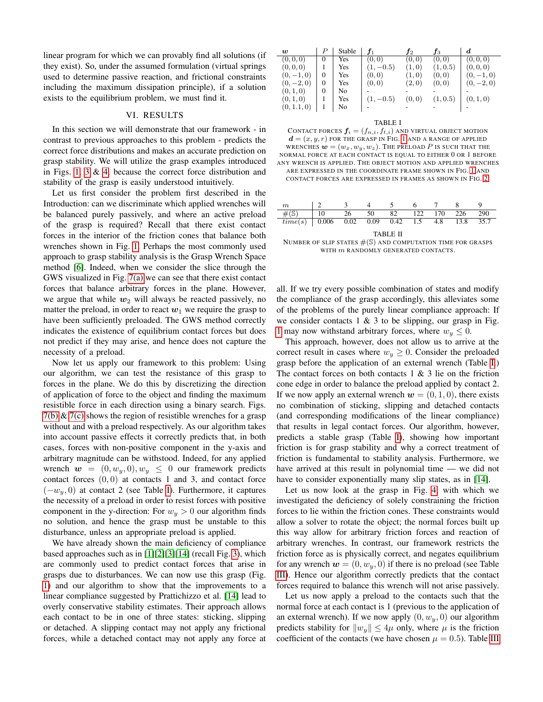linear program for which we can provably find all solutions (if they exist). So, under the assumed formulation (virtual springs used to determine passive reaction, and frictional constraints including the maximum dissipation principle), if a solution exists to the equilibrium problem, we must find it.

## VI. RESULTS

In this section we will demonstrate that our framework - in contrast to previous approaches to this problem - predicts the correct force distributions and makes an accurate prediction on grasp stability. We will utilize the grasp examples introduced in Figs. [1,](#page-0-0) [3](#page-2-4) & [4,](#page-2-6) because the correct force distribution and stability of the grasp is easily understood intuitively.

Let us first consider the problem first described in the Introduction: can we discriminate which applied wrenches will be balanced purely passively, and where an active preload of the grasp is required? Recall that there exist contact forces in the interior of the friction cones that balance both wrenches shown in Fig. [1.](#page-0-0) Perhaps the most commonly used approach to grasp stability analysis is the Grasp Wrench Space method [\[6\]](#page-8-4). Indeed, when we consider the slice through the GWS visualized in Fig. [7\(a\)](#page-7-0) we can see that there exist contact forces that balance arbitrary forces in the plane. However, we argue that while  $w_2$  will always be reacted passively, no matter the preload, in order to react  $w_1$  we require the grasp to have been sufficiently preloaded. The GWS method correctly indicates the existence of equilibrium contact forces but does not predict if they may arise, and hence does not capture the necessity of a preload.

Now let us apply our framework to this problem: Using our algorithm, we can test the resistance of this grasp to forces in the plane. We do this by discretizing the direction of application of force to the object and finding the maximum resistible force in each direction using a binary search. Figs.  $7(b)$  &  $7(c)$  shows the region of resistible wrenches for a grasp without and with a preload respectively. As our algorithm takes into account passive effects it correctly predicts that, in both cases, forces with non-positive component in the y-axis and arbitrary magnitude can be withstood. Indeed, for any applied wrench  $\mathbf{w} = (0, w_y, 0), w_y \leq 0$  our framework predicts contact forces  $(0, 0)$  at contacts 1 and 3, and contact force  $(-w_y, 0)$  at contact 2 (see Table [I\)](#page-6-0). Furthermore, it captures the necessity of a preload in order to resist forces with positive component in the y-direction: For  $w_y > 0$  our algorithm finds no solution, and hence the grasp must be unstable to this disturbance, unless an appropriate preload is applied.

We have already shown the main deficiency of compliance based approaches such as in [\[1\]](#page-8-5)[\[2\]](#page-8-6)[\[3\]](#page-8-7)[\[14\]](#page-8-9) (recall Fig. [3\)](#page-2-4), which are commonly used to predict contact forces that arise in grasps due to disturbances. We can now use this grasp (Fig. [1\)](#page-0-0) and our algorithm to show that the improvements to a linear compliance suggested by Prattichizzo et al. [\[14\]](#page-8-9) lead to overly conservative stability estimates. Their approach allows each contact to be in one of three states: sticking, slipping or detached. A slipping contact may not apply any frictional forces, while a detached contact may not apply any force at

| w            |          | Stable |             | Ť2     | JЗ       | d          |
|--------------|----------|--------|-------------|--------|----------|------------|
| (0, 0, 0)    | 0        | Yes    | (0, 0)      | (0, 0) | (0, 0)   | (0, 0, 0)  |
| (0,0,0)      |          | Yes    | $(1, -0.5)$ | (1,0)  | (1, 0.5) | (0,0,0)    |
| $(0,-1,0)$   | $\Omega$ | Yes    | (0, 0)      | (1,0)  | (0, 0)   | $(0,-1,0)$ |
| $(0, -2, 0)$ | $\theta$ | Yes    | (0, 0)      | (2,0)  | (0, 0)   | $(0,-2,0)$ |
| (0, 1, 0)    | $\theta$ | No     |             |        |          |            |
| (0, 1, 0)    |          | Yes    | $(1, -0.5)$ | (0, 0) | (1, 0.5) | (0, 1, 0)  |
| (0, 1.1, 0)  |          | No     |             |        |          |            |

<span id="page-6-1"></span><span id="page-6-0"></span>TABLE I

CONTACT FORCES  $f_i = (f_{n,i}, f_{t,i})$  and virtual object motion  $\mathbf{d} = (x, y, r)$  for the grasp in Fig. [1](#page-0-0) and a range of applied WRENCHES  $\mathbf{w} = (w_x, w_y, w_z)$ . The preload P is such that the NORMAL FORCE AT EACH CONTACT IS EQUAL TO EITHER 0 OR 1 BEFORE ANY WRENCH IS APPLIED. THE OBJECT MOTION AND APPLIED WRENCHES ARE EXPRESSED IN THE COORDINATE FRAME SHOWN IN FIG. [1](#page-0-0) AND CONTACT FORCES ARE EXPRESSED IN FRAMES AS SHOWN IN FIG. [2.](#page-2-0)

| m                                      |    |    |      |    | 6. |             |      |      |
|----------------------------------------|----|----|------|----|----|-------------|------|------|
| $\overline{\mathcal{H}(\mathbb{S})}$   | 10 | 26 | - 50 | 82 |    | 122 170 226 |      | 290  |
| $time(s)$ 0.006 0.02 0.09 0.42 1.5 4.8 |    |    |      |    |    |             | 13.8 | 35.7 |
| <b>TABLE II</b>                        |    |    |      |    |    |             |      |      |

NUMBER OF SLIP STATES  $\#(\mathbb{S})$  and computation time for grasps WITH  $m$  RANDOMLY GENERATED CONTACTS.

all. If we try every possible combination of states and modify the compliance of the grasp accordingly, this alleviates some of the problems of the purely linear compliance approach: If we consider contacts  $1 \& 3$  to be slipping, our grasp in Fig. [1](#page-0-0) may now withstand arbitrary forces, where  $w_y \leq 0$ .

This approach, however, does not allow us to arrive at the correct result in cases where  $w_y \geq 0$ . Consider the preloaded grasp before the application of an external wrench (Table [I.](#page-6-0)) The contact forces on both contacts  $1 \& 3$  lie on the friction cone edge in order to balance the preload applied by contact 2. If we now apply an external wrench  $w = (0, 1, 0)$ , there exists no combination of sticking, slipping and detached contacts (and corresponding modifications of the linear compliance) that results in legal contact forces. Our algorithm, however, predicts a stable grasp (Table [I\)](#page-6-0), showing how important friction is for grasp stability and why a correct treatment of friction is fundamental to stability analysis. Furthermore, we have arrived at this result in polynomial time — we did not have to consider exponentially many slip states, as in [\[14\]](#page-8-9).

Let us now look at the grasp in Fig. [4,](#page-2-6) with which we investigated the deficiency of solely constraining the friction forces to lie within the friction cones. These constraints would allow a solver to rotate the object; the normal forces built up this way allow for arbitrary friction forces and reaction of arbitrary wrenches. In contrast, our framework restricts the friction force as is physically correct, and negates equilibrium for any wrench  $\mathbf{w} = (0, w_y, 0)$  if there is no preload (see Table [III\)](#page-7-3). Hence our algorithm correctly predicts that the contact forces required to balance this wrench will not arise passively.

Let us now apply a preload to the contacts such that the normal force at each contact is 1 (previous to the application of an external wrench). If we now apply  $(0, w_y, 0)$  our algorithm predicts stability for  $||w_y|| \le 4\mu$  only, where  $\mu$  is the friction coefficient of the contacts (we have chosen  $\mu = 0.5$ ). Table [III](#page-7-3)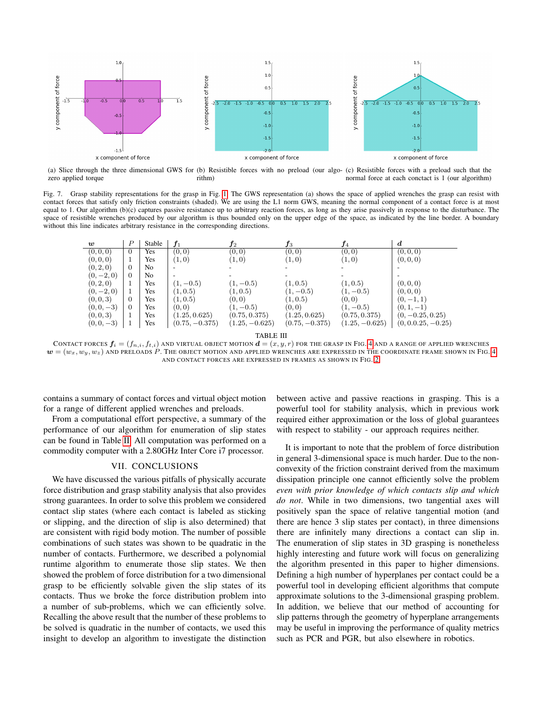<span id="page-7-0"></span>

(a) Slice through the three dimensional GWS for (b) Resistible forces with no preload (our algo-(c) Resistible forces with a preload such that the zero applied torque rithm) normal force at each conctact is 1 (our algorithm)

Fig. 7. Grasp stability representations for the grasp in Fig. [1.](#page-0-0) The GWS representation (a) shows the space of applied wrenches the grasp can resist with contact forces that satisfy only friction constraints (shaded). We are using the L1 norm GWS, meaning the normal component of a contact force is at most equal to 1. Our algorithm (b)(c) captures passive resistance up to arbitrary reaction forces, as long as they arise passively in response to the disturbance. The space of resistible wrenches produced by our algorithm is thus bounded only on the upper edge of the space, as indicated by the line border. A boundary without this line indicates arbitrary resistance in the corresponding directions.

<span id="page-7-1"></span>

| w            | $\boldsymbol{P}$ | Stable         | $f_1$            | $J_{2}$          | $f_3$            | $\boldsymbol{f_4}$ | d                    |
|--------------|------------------|----------------|------------------|------------------|------------------|--------------------|----------------------|
| (0,0,0)      | $\overline{0}$   | Yes            | (0, 0)           | (0, 0)           | (0, 0)           | (0, 0)             | (0, 0, 0)            |
| (0, 0, 0)    |                  | Yes            | (1,0)            | (1,0)            | (1,0)            | (1,0)              | (0, 0, 0)            |
| (0, 2, 0)    | $\Omega$         | N <sub>0</sub> |                  |                  |                  |                    |                      |
| $(0,-2,0)$   | $\Omega$         | N <sub>0</sub> |                  |                  |                  |                    |                      |
| (0, 2, 0)    |                  | Yes            | $(1, -0.5)$      | $(1, -0.5)$      | (1, 0.5)         | (1, 0.5)           | (0, 0, 0)            |
| $(0,-2,0)$   |                  | Yes            | (1, 0.5)         | (1, 0.5)         | $(1, -0.5)$      | $(1, -0.5)$        | (0,0,0)              |
| (0, 0, 3)    | $\overline{0}$   | Yes            | (1, 0.5)         | (0,0)            | (1, 0.5)         | (0,0)              | $(0,-1,1)$           |
| $(0,0,-3)$   | $\Omega$         | Yes            | (0, 0)           | $(1, -0.5)$      | (0,0)            | $(1, -0.5)$        | $(0, 1, -1)$         |
| (0,0,3)      |                  | Yes            | (1.25, 0.625)    | (0.75, 0.375)    | (1.25, 0.625)    | (0.75, 0.375)      | $(0, -0.25, 0.25)$   |
| $(0, 0, -3)$ |                  | Yes            | $(0.75, -0.375)$ | $(1.25, -0.625)$ | $(0.75, -0.375)$ | $(1.25, -0.625)$   | $(0, 0.0.25, -0.25)$ |

<span id="page-7-3"></span><span id="page-7-2"></span>TABLE III

CONTACT FORCES  $f_i = (f_{n,i}, f_{t,i})$  and virtual object motion  $\boldsymbol{d} = (x, y, r)$  for the Grasp in Fig. [4](#page-2-6) and a range of applied wrenches  $\bm{w}=(w_x,w_y,w_z)$  and preloads P. The object motion and applied wrenches are expressed in the coordinate frame shown in Fig. [4](#page-2-6) AND CONTACT FORCES ARE EXPRESSED IN FRAMES AS SHOWN IN FIG. [2.](#page-2-0)

contains a summary of contact forces and virtual object motion for a range of different applied wrenches and preloads.

From a computational effort perspective, a summary of the performance of our algorithm for enumeration of slip states can be found in Table [II.](#page-6-1) All computation was performed on a commodity computer with a 2.80GHz Inter Core i7 processor.

## VII. CONCLUSIONS

We have discussed the various pitfalls of physically accurate force distribution and grasp stability analysis that also provides strong guarantees. In order to solve this problem we considered contact slip states (where each contact is labeled as sticking or slipping, and the direction of slip is also determined) that are consistent with rigid body motion. The number of possible combinations of such states was shown to be quadratic in the number of contacts. Furthermore, we described a polynomial runtime algorithm to enumerate those slip states. We then showed the problem of force distribution for a two dimensional grasp to be efficiently solvable given the slip states of its contacts. Thus we broke the force distribution problem into a number of sub-problems, which we can efficiently solve. Recalling the above result that the number of these problems to be solved is quadratic in the number of contacts, we used this insight to develop an algorithm to investigate the distinction

between active and passive reactions in grasping. This is a powerful tool for stability analysis, which in previous work required either approximation or the loss of global guarantees with respect to stability - our approach requires neither.

It is important to note that the problem of force distribution in general 3-dimensional space is much harder. Due to the nonconvexity of the friction constraint derived from the maximum dissipation principle one cannot efficiently solve the problem *even with prior knowledge of which contacts slip and which do not*. While in two dimensions, two tangential axes will positively span the space of relative tangential motion (and there are hence 3 slip states per contact), in three dimensions there are infinitely many directions a contact can slip in. The enumeration of slip states in 3D grasping is nonetheless highly interesting and future work will focus on generalizing the algorithm presented in this paper to higher dimensions. Defining a high number of hyperplanes per contact could be a powerful tool in developing efficient algorithms that compute approximate solutions to the 3-dimensional grasping problem. In addition, we believe that our method of accounting for slip patterns through the geometry of hyperplane arrangements may be useful in improving the performance of quality metrics such as PCR and PGR, but also elsewhere in robotics.